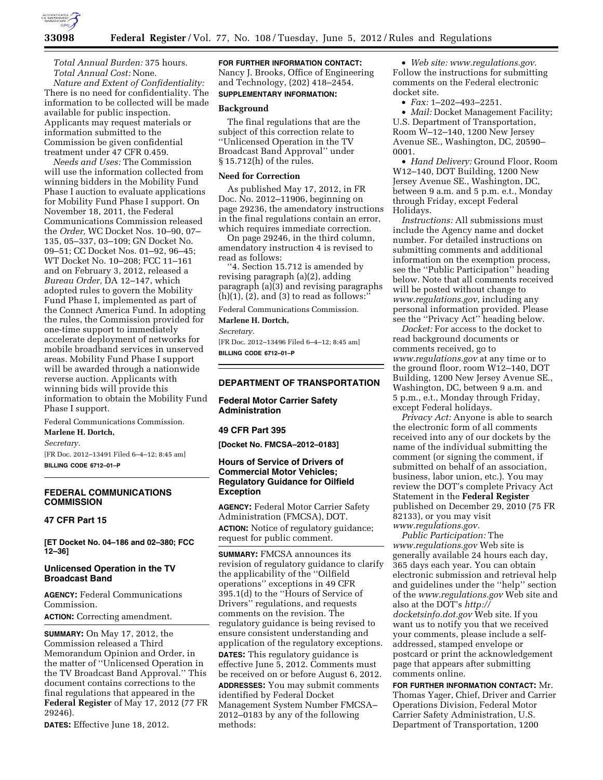

*Total Annual Burden:* 375 hours. *Total Annual Cost:* None.

*Nature and Extent of Confidentiality:*  There is no need for confidentiality. The information to be collected will be made available for public inspection. Applicants may request materials or information submitted to the Commission be given confidential treatment under 47 CFR 0.459.

*Needs and Uses:* The Commission will use the information collected from winning bidders in the Mobility Fund Phase I auction to evaluate applications for Mobility Fund Phase I support. On November 18, 2011, the Federal Communications Commission released the *Order,* WC Docket Nos. 10–90, 07– 135, 05–337, 03–109; GN Docket No. 09–51; CC Docket Nos. 01–92, 96–45; WT Docket No. 10–208; FCC 11–161 and on February 3, 2012, released a *Bureau Order,* DA 12–147, which adopted rules to govern the Mobility Fund Phase I, implemented as part of the Connect America Fund. In adopting the rules, the Commission provided for one-time support to immediately accelerate deployment of networks for mobile broadband services in unserved areas. Mobility Fund Phase I support will be awarded through a nationwide reverse auction. Applicants with winning bids will provide this information to obtain the Mobility Fund Phase I support.

Federal Communications Commission. **Marlene H. Dortch,** 

*Secretary.* 

[FR Doc. 2012–13491 Filed 6–4–12; 8:45 am] **BILLING CODE 6712–01–P** 

# **FEDERAL COMMUNICATIONS COMMISSION**

# **47 CFR Part 15**

**[ET Docket No. 04–186 and 02–380; FCC 12–36]** 

# **Unlicensed Operation in the TV Broadcast Band**

**AGENCY:** Federal Communications Commission.

**ACTION:** Correcting amendment.

**SUMMARY:** On May 17, 2012, the Commission released a Third Memorandum Opinion and Order, in the matter of ''Unlicensed Operation in the TV Broadcast Band Approval.'' This document contains corrections to the final regulations that appeared in the **Federal Register** of May 17, 2012 (77 FR 29246).

**DATES:** Effective June 18, 2012.

**FOR FURTHER INFORMATION CONTACT:**  Nancy J. Brooks, Office of Engineering and Technology, (202) 418–2454. **SUPPLEMENTARY INFORMATION:** 

# **Background**

The final regulations that are the subject of this correction relate to ''Unlicensed Operation in the TV Broadcast Band Approval'' under § 15.712(h) of the rules.

#### **Need for Correction**

As published May 17, 2012, in FR Doc. No. 2012–11906, beginning on page 29236, the amendatory instructions in the final regulations contain an error, which requires immediate correction.

On page 29246, in the third column, amendatory instruction 4 is revised to read as follows:

''4. Section 15.712 is amended by revising paragraph (a)(2), adding paragraph (a)(3) and revising paragraphs  $(h)(1)$ ,  $(2)$ , and  $(3)$  to read as follows:'

Federal Communications Commission.

# **Marlene H. Dortch,**

*Secretary.* 

[FR Doc. 2012–13496 Filed 6–4–12; 8:45 am] **BILLING CODE 6712–01–P** 

## **DEPARTMENT OF TRANSPORTATION**

**Federal Motor Carrier Safety Administration** 

### **49 CFR Part 395**

**[Docket No. FMCSA–2012–0183]** 

# **Hours of Service of Drivers of Commercial Motor Vehicles; Regulatory Guidance for Oilfield Exception**

**AGENCY:** Federal Motor Carrier Safety Administration (FMCSA), DOT. **ACTION:** Notice of regulatory guidance; request for public comment.

**SUMMARY:** FMCSA announces its revision of regulatory guidance to clarify the applicability of the ''Oilfield operations'' exceptions in 49 CFR 395.1(d) to the ''Hours of Service of Drivers'' regulations, and requests comments on the revision. The regulatory guidance is being revised to ensure consistent understanding and application of the regulatory exceptions. **DATES:** This regulatory guidance is effective June 5, 2012. Comments must be received on or before August 6, 2012. **ADDRESSES:** You may submit comments identified by Federal Docket Management System Number FMCSA– 2012–0183 by any of the following methods:

• *Web site: [www.regulations.gov.](http://www.regulations.gov)*  Follow the instructions for submitting comments on the Federal electronic docket site.

• *Fax:* 1–202–493–2251.

• *Mail:* Docket Management Facility; U.S. Department of Transportation, Room W–12–140, 1200 New Jersey Avenue SE., Washington, DC, 20590– 0001.

• *Hand Delivery:* Ground Floor, Room W12–140, DOT Building, 1200 New Jersey Avenue SE., Washington, DC, between 9 a.m. and 5 p.m. e.t., Monday through Friday, except Federal Holidays.

*Instructions:* All submissions must include the Agency name and docket number. For detailed instructions on submitting comments and additional information on the exemption process, see the ''Public Participation'' heading below. Note that all comments received will be posted without change to *[www.regulations.gov,](http://www.regulations.gov)* including any personal information provided. Please see the ''Privacy Act'' heading below.

*Docket:* For access to the docket to read background documents or comments received, go to *[www.regulations.gov](http://www.regulations.gov)* at any time or to the ground floor, room W12–140, DOT Building, 1200 New Jersey Avenue SE., Washington, DC, between 9 a.m. and 5 p.m., e.t., Monday through Friday, except Federal holidays.

*Privacy Act:* Anyone is able to search the electronic form of all comments received into any of our dockets by the name of the individual submitting the comment (or signing the comment, if submitted on behalf of an association, business, labor union, etc.). You may review the DOT's complete Privacy Act Statement in the **Federal Register**  published on December 29, 2010 (75 FR 82133), or you may visit *[www.regulations.gov.](http://www.regulations.gov)* 

*Public Participation:* The *[www.regulations.gov](http://www.regulations.gov)* Web site is generally available 24 hours each day, 365 days each year. You can obtain electronic submission and retrieval help and guidelines under the ''help'' section of the *[www.regulations.gov](http://www.regulations.gov)* Web site and also at the DOT's *[http://](http://docketsinfo.dot.gov) [docketsinfo.dot.gov](http://docketsinfo.dot.gov)* Web site. If you want us to notify you that we received your comments, please include a selfaddressed, stamped envelope or postcard or print the acknowledgement page that appears after submitting comments online.

**FOR FURTHER INFORMATION CONTACT:** Mr. Thomas Yager, Chief, Driver and Carrier Operations Division, Federal Motor Carrier Safety Administration, U.S. Department of Transportation, 1200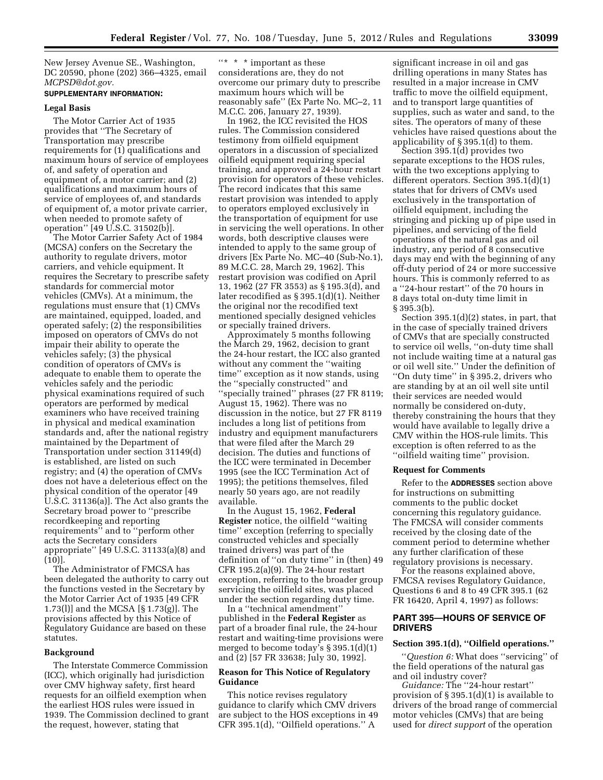New Jersey Avenue SE., Washington, DC 20590, phone (202) 366–4325, email *[MCPSD@dot.gov.](mailto:MCPSD@dot.gov)* 

#### **SUPPLEMENTARY INFORMATION:**

#### **Legal Basis**

The Motor Carrier Act of 1935 provides that ''The Secretary of Transportation may prescribe requirements for (1) qualifications and maximum hours of service of employees of, and safety of operation and equipment of, a motor carrier; and (2) qualifications and maximum hours of service of employees of, and standards of equipment of, a motor private carrier, when needed to promote safety of operation'' [49 U.S.C. 31502(b)].

The Motor Carrier Safety Act of 1984 (MCSA) confers on the Secretary the authority to regulate drivers, motor carriers, and vehicle equipment. It requires the Secretary to prescribe safety standards for commercial motor vehicles (CMVs). At a minimum, the regulations must ensure that (1) CMVs are maintained, equipped, loaded, and operated safely; (2) the responsibilities imposed on operators of CMVs do not impair their ability to operate the vehicles safely; (3) the physical condition of operators of CMVs is adequate to enable them to operate the vehicles safely and the periodic physical examinations required of such operators are performed by medical examiners who have received training in physical and medical examination standards and, after the national registry maintained by the Department of Transportation under section 31149(d) is established, are listed on such registry; and (4) the operation of CMVs does not have a deleterious effect on the physical condition of the operator [49 U.S.C. 31136(a)]. The Act also grants the Secretary broad power to ''prescribe recordkeeping and reporting requirements'' and to ''perform other acts the Secretary considers appropriate'' [49 U.S.C. 31133(a)(8) and (10)].

The Administrator of FMCSA has been delegated the authority to carry out the functions vested in the Secretary by the Motor Carrier Act of 1935 [49 CFR 1.73(l)] and the MCSA [§ 1.73(g)]. The provisions affected by this Notice of Regulatory Guidance are based on these statutes.

## **Background**

The Interstate Commerce Commission (ICC), which originally had jurisdiction over CMV highway safety, first heard requests for an oilfield exemption when the earliest HOS rules were issued in 1939. The Commission declined to grant the request, however, stating that

''\* \* \* important as these considerations are, they do not overcome our primary duty to prescribe maximum hours which will be reasonably safe'' (Ex Parte No. MC–2, 11 M.C.C. 206, January 27, 1939).

In 1962, the ICC revisited the HOS rules. The Commission considered testimony from oilfield equipment operators in a discussion of specialized oilfield equipment requiring special training, and approved a 24-hour restart provision for operators of these vehicles. The record indicates that this same restart provision was intended to apply to operators employed exclusively in the transportation of equipment for use in servicing the well operations. In other words, both descriptive clauses were intended to apply to the same group of drivers [Ex Parte No. MC–40 (Sub-No.1), 89 M.C.C. 28, March 29, 1962]. This restart provision was codified on April 13, 1962 (27 FR 3553) as § 195.3(d), and later recodified as § 395.1(d)(1). Neither the original nor the recodified text mentioned specially designed vehicles or specially trained drivers.

Approximately 5 months following the March 29, 1962, decision to grant the 24-hour restart, the ICC also granted without any comment the ''waiting time'' exception as it now stands, using the ''specially constructed'' and ''specially trained'' phrases (27 FR 8119; August 15, 1962). There was no discussion in the notice, but 27 FR 8119 includes a long list of petitions from industry and equipment manufacturers that were filed after the March 29 decision. The duties and functions of the ICC were terminated in December 1995 (see the ICC Termination Act of 1995); the petitions themselves, filed nearly 50 years ago, are not readily available.

In the August 15, 1962, **Federal Register** notice, the oilfield ''waiting time'' exception (referring to specially constructed vehicles and specially trained drivers) was part of the definition of ''on duty time'' in (then) 49 CFR 195.2(a)(9). The 24-hour restart exception, referring to the broader group servicing the oilfield sites, was placed under the section regarding duty time.

In a ''technical amendment'' published in the **Federal Register** as part of a broader final rule, the 24-hour restart and waiting-time provisions were merged to become today's § 395.1(d)(1) and (2) [57 FR 33638; July 30, 1992].

## **Reason for This Notice of Regulatory Guidance**

This notice revises regulatory guidance to clarify which CMV drivers are subject to the HOS exceptions in 49 CFR 395.1(d), ''Oilfield operations.'' A

significant increase in oil and gas drilling operations in many States has resulted in a major increase in CMV traffic to move the oilfield equipment, and to transport large quantities of supplies, such as water and sand, to the sites. The operators of many of these vehicles have raised questions about the applicability of § 395.1(d) to them.

Section 395.1(d) provides two separate exceptions to the HOS rules, with the two exceptions applying to different operators. Section 395.1(d)(1) states that for drivers of CMVs used exclusively in the transportation of oilfield equipment, including the stringing and picking up of pipe used in pipelines, and servicing of the field operations of the natural gas and oil industry, any period of 8 consecutive days may end with the beginning of any off-duty period of 24 or more successive hours. This is commonly referred to as a ''24-hour restart'' of the 70 hours in 8 days total on-duty time limit in § 395.3(b).

Section 395.1(d)(2) states, in part, that in the case of specially trained drivers of CMVs that are specially constructed to service oil wells, ''on-duty time shall not include waiting time at a natural gas or oil well site.'' Under the definition of ''On duty time'' in § 395.2, drivers who are standing by at an oil well site until their services are needed would normally be considered on-duty, thereby constraining the hours that they would have available to legally drive a CMV within the HOS-rule limits. This exception is often referred to as the ''oilfield waiting time'' provision.

## **Request for Comments**

Refer to the **ADDRESSES** section above for instructions on submitting comments to the public docket concerning this regulatory guidance. The FMCSA will consider comments received by the closing date of the comment period to determine whether any further clarification of these regulatory provisions is necessary.

For the reasons explained above, FMCSA revises Regulatory Guidance, Questions 6 and 8 to 49 CFR 395.1 (62 FR 16420, April 4, 1997) as follows:

### **PART 395—HOURS OF SERVICE OF DRIVERS**

# **Section 395.1(d), ''Oilfield operations.''**

''*Question 6:* What does ''servicing'' of the field operations of the natural gas and oil industry cover?

*Guidance:* The ''24-hour restart'' provision of § 395.1(d)(1) is available to drivers of the broad range of commercial motor vehicles (CMVs) that are being used for *direct support* of the operation